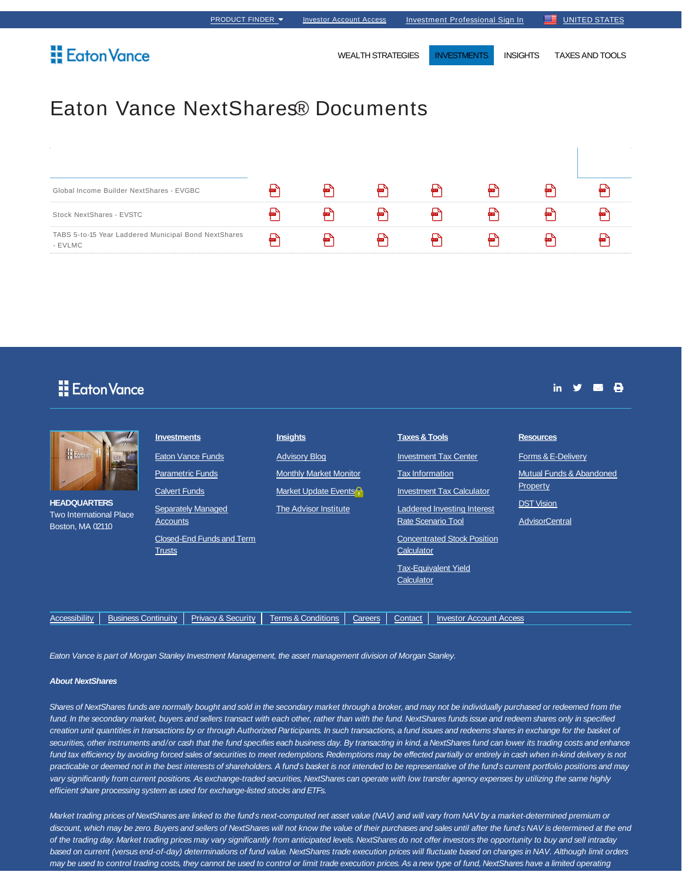**Eaton Vance** 

WEALTH STRATEGIES **INVESTMENTS** INSIGHTS TAXES AND TOOLS

in  $\mathbf{y}$  is  $\mathbf{\Theta}$ 

## Eaton Vance NextShares® Documents

| Global Income Builder NextShares - EVGBC                        | PDF |     | ₩ | ₩ | PDF |     | PDF |
|-----------------------------------------------------------------|-----|-----|---|---|-----|-----|-----|
| Stock NextShares - EVSTC                                        | PDF | PDF | ₩ | ₩ | PDF | PDF | PDF |
| TABS 5-to-15 Year Laddered Municipal Bond NextShares<br>- EVLMC | ₩   | ₩   | ₩ | ₩ | PDF | PDF | Þш. |

## **H** Eaton Vance

|                                                                                        |                            | <b>Investments</b>                                       |                                                                                                               | <b>Insights</b>                                                                                        |         | <b>Taxes &amp; Tools</b>                           |                                                                                                                                                                                                          | <b>Resources</b>                                                                                         |
|----------------------------------------------------------------------------------------|----------------------------|----------------------------------------------------------|---------------------------------------------------------------------------------------------------------------|--------------------------------------------------------------------------------------------------------|---------|----------------------------------------------------|----------------------------------------------------------------------------------------------------------------------------------------------------------------------------------------------------------|----------------------------------------------------------------------------------------------------------|
| E Ectonic<br><b>HEADQUARTERS</b><br><b>Two International Place</b><br>Boston, MA 02110 |                            | <b>Calvert Funds</b><br><b>Accounts</b><br><b>Trusts</b> | <b>Eaton Vance Funds</b><br><b>Parametric Funds</b><br><b>Separately Managed</b><br>Closed-End Funds and Term | <b>Advisory Blog</b><br><b>Monthly Market Monitor</b><br>Market Update Events<br>The Advisor Institute |         | <b>Tax Information</b><br>Calculator<br>Calculator | <b>Investment Tax Center</b><br><b>Investment Tax Calculator</b><br><b>Laddered Investing Interest</b><br><b>Rate Scenario Tool</b><br><b>Concentrated Stock Position</b><br><b>Tax-Equivalent Yield</b> | Forms & E-Delivery<br>Mutual Funds & Abandoned<br>Property<br><b>DST Vision</b><br><b>AdvisorCentral</b> |
| Accessibility                                                                          | <b>Business Continuity</b> |                                                          | <b>Privacy &amp; Security</b>                                                                                 | <b>Terms &amp; Conditions</b>                                                                          | Careers | Contact                                            | <b>Investor Account Access</b>                                                                                                                                                                           |                                                                                                          |

Eaton Vance is part of Morgan Stanley Investment Management, the asset management division of Morgan Stanley.

## **About NextShares**

Shares of NextShares funds are normally bought and sold in the secondary market through a broker, and may not be individually purchased or redeemed from the fund. In the secondary market, buyers and sellers transact with each other, rather than with the fund. NextShares funds issue and redeem shares only in specified creation unit quantities in transactions by or through Authorized Participants. In such transactions, a fund issues and redeems shares in exchange for the basket of securities, other instruments and/or cash that the fund specifies each business day. By transacting in kind, a NextShares fund can lower its trading costs and enhance fund tax efficiency by avoiding forced sales of securities to meet redemptions. Redemptions may be effected partially or entirely in cash when in-kind delivery is not practicable or deemed not in the best interests of shareholders. A fund's basket is not intended to be representative of the fund's current portfolio positions and may vary significantly from current positions. As exchange-traded securities, NextShares can operate with low transfer agency expenses by utilizing the same highly efficient share processing system as used for exchange-listed stocks and ETFs.

Market trading prices of NextShares are linked to the fund's next-computed net asset value (NAV) and will vary from NAV by a market-determined premium or discount, which may be zero. Buyers and sellers of NextShares will not know the value of their purchases and sales until after the fund's NAV is determined at the end of the trading day. Market trading prices may vary significantly from anticipated levels. NextShares do not offer investors the opportunity to buy and sell intraday based on current (versus end-of-day) determinations of fund value. NextShares trade execution prices will fluctuate based on changes in NAV. Although limit orders may be used to control trading costs, they cannot be used to control or limit trade execution prices. As a new type of fund, NextShares have a limited operating